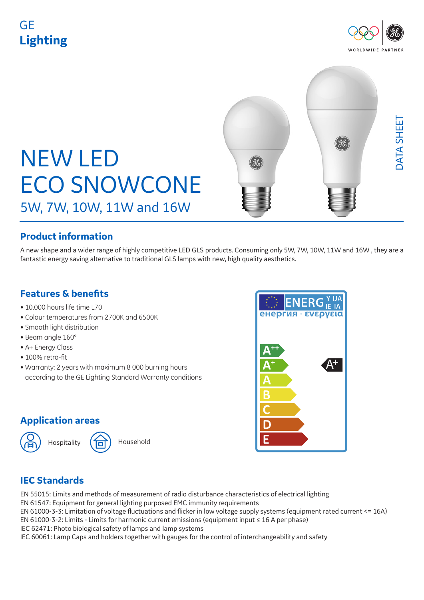# GE **Lighting**





## **Product information**

A new shape and a wider range of highly competitive LED GLS products. Consuming only 5W, 7W, 10W, 11W and 16W , they are a fantastic energy saving alternative to traditional GLS lamps with new, high quality aesthetics.

#### **Features & benefits**

- 10.000 hours life time L70
- Colour temperatures from 2700K and 6500K
- Smooth light distribution
- Beam angle 160°
- A+ Energy Class
- 100% retro-fit
- Warranty: 2 years with maximum 8 000 burning hours according to the GE Lighting Standard Warranty conditions

## **Application areas**

Hospitality (10) Household



## **IEC Standards**

EN 55015: Limits and methods of measurement of radio disturbance characteristics of electrical lighting EN 61547: Equipment for general lighting purposed EMC immunity requirements EN 61000-3-3: Limitation of voltage fluctuations and flicker in low voltage supply systems (equipment rated current <= 16A) EN 61000-3-2: Limits - Limits for harmonic current emissions (equipment input ≤ 16 A per phase) IEC 62471: Photo biological safety of lamps and lamp systems IEC 60061: Lamp Caps and holders together with gauges for the control of interchangeability and safety